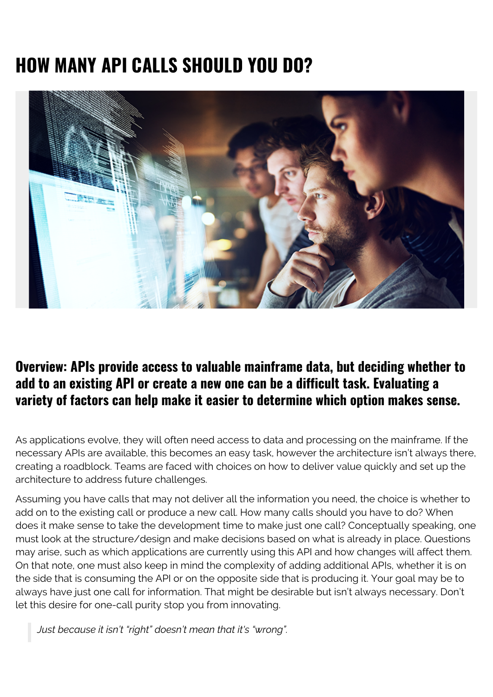## **HOW MANY API CALLS SHOULD YOU DO?**



## **Overview: APIs provide access to valuable mainframe data, but deciding whether to add to an existing API or create a new one can be a difficult task. Evaluating a variety of factors can help make it easier to determine which option makes sense.**

As applications evolve, they will often need access to data and processing on the mainframe. If the necessary APIs are available, this becomes an easy task, however the architecture isn't always there, creating a roadblock. Teams are faced with choices on how to deliver value quickly and set up the architecture to address future challenges.

Assuming you have calls that may not deliver all the information you need, the choice is whether to add on to the existing call or produce a new call. How many calls should you have to do? When does it make sense to take the development time to make just one call? Conceptually speaking, one must look at the structure/design and make decisions based on what is already in place. Questions may arise, such as which applications are currently using this API and how changes will affect them. On that note, one must also keep in mind the complexity of adding additional APIs, whether it is on the side that is consuming the API or on the opposite side that is producing it. Your goal may be to always have just one call for information. That might be desirable but isn't always necessary. Don't let this desire for one-call purity stop you from innovating.

*Just because it isn't "right" doesn't mean that it's "wrong".*